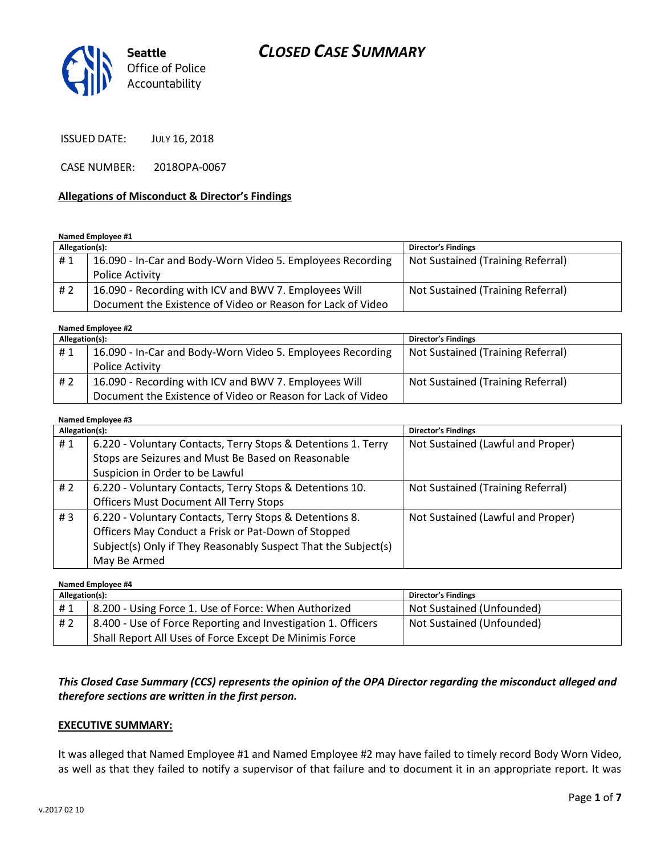# *CLOSED CASE SUMMARY*



ISSUED DATE: JULY 16, 2018

CASE NUMBER: 2018OPA-0067

### **Allegations of Misconduct & Director's Findings**

**Named Employee #1**

| Allegation(s): |                                                             | <b>Director's Findings</b>        |
|----------------|-------------------------------------------------------------|-----------------------------------|
| #1             | 16.090 - In-Car and Body-Worn Video 5. Employees Recording  | Not Sustained (Training Referral) |
|                | <b>Police Activity</b>                                      |                                   |
| # 2            | 16.090 - Recording with ICV and BWV 7. Employees Will       | Not Sustained (Training Referral) |
|                | Document the Existence of Video or Reason for Lack of Video |                                   |

**Named Employee #2**

| Allegation(s): |                                                             | <b>Director's Findings</b>        |
|----------------|-------------------------------------------------------------|-----------------------------------|
| #1             | 16.090 - In-Car and Body-Worn Video 5. Employees Recording  | Not Sustained (Training Referral) |
|                | Police Activity                                             |                                   |
| #2             | 16.090 - Recording with ICV and BWV 7. Employees Will       | Not Sustained (Training Referral) |
|                | Document the Existence of Video or Reason for Lack of Video |                                   |

#### **Named Employee #3**

| Allegation(s): |                                                                | <b>Director's Findings</b>        |
|----------------|----------------------------------------------------------------|-----------------------------------|
| #1             | 6.220 - Voluntary Contacts, Terry Stops & Detentions 1. Terry  | Not Sustained (Lawful and Proper) |
|                | Stops are Seizures and Must Be Based on Reasonable             |                                   |
|                | Suspicion in Order to be Lawful                                |                                   |
| # $2$          | 6.220 - Voluntary Contacts, Terry Stops & Detentions 10.       | Not Sustained (Training Referral) |
|                | <b>Officers Must Document All Terry Stops</b>                  |                                   |
| #3             | 6.220 - Voluntary Contacts, Terry Stops & Detentions 8.        | Not Sustained (Lawful and Proper) |
|                | Officers May Conduct a Frisk or Pat-Down of Stopped            |                                   |
|                | Subject(s) Only if They Reasonably Suspect That the Subject(s) |                                   |
|                | May Be Armed                                                   |                                   |

**Named Employee #4 Allegation(s): Director's Findings** # 1 | 8.200 - Using Force 1. Use of Force: When Authorized | Not Sustained (Unfounded) # 2 | 8.400 - Use of Force Reporting and Investigation 1. Officers Shall Report All Uses of Force Except De Minimis Force Not Sustained (Unfounded)

## *This Closed Case Summary (CCS) represents the opinion of the OPA Director regarding the misconduct alleged and therefore sections are written in the first person.*

#### **EXECUTIVE SUMMARY:**

It was alleged that Named Employee #1 and Named Employee #2 may have failed to timely record Body Worn Video, as well as that they failed to notify a supervisor of that failure and to document it in an appropriate report. It was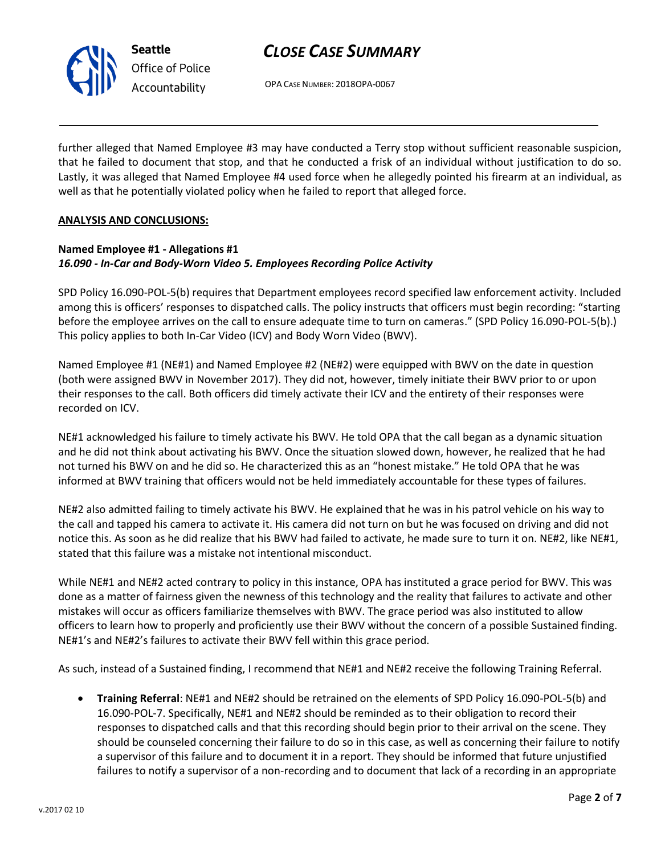

# *CLOSE CASE SUMMARY*

OPA CASE NUMBER: 2018OPA-0067

further alleged that Named Employee #3 may have conducted a Terry stop without sufficient reasonable suspicion, that he failed to document that stop, and that he conducted a frisk of an individual without justification to do so. Lastly, it was alleged that Named Employee #4 used force when he allegedly pointed his firearm at an individual, as well as that he potentially violated policy when he failed to report that alleged force.

### **ANALYSIS AND CONCLUSIONS:**

## **Named Employee #1 - Allegations #1** *16.090 - In-Car and Body-Worn Video 5. Employees Recording Police Activity*

SPD Policy 16.090-POL-5(b) requires that Department employees record specified law enforcement activity. Included among this is officers' responses to dispatched calls. The policy instructs that officers must begin recording: "starting before the employee arrives on the call to ensure adequate time to turn on cameras." (SPD Policy 16.090-POL-5(b).) This policy applies to both In-Car Video (ICV) and Body Worn Video (BWV).

Named Employee #1 (NE#1) and Named Employee #2 (NE#2) were equipped with BWV on the date in question (both were assigned BWV in November 2017). They did not, however, timely initiate their BWV prior to or upon their responses to the call. Both officers did timely activate their ICV and the entirety of their responses were recorded on ICV.

NE#1 acknowledged his failure to timely activate his BWV. He told OPA that the call began as a dynamic situation and he did not think about activating his BWV. Once the situation slowed down, however, he realized that he had not turned his BWV on and he did so. He characterized this as an "honest mistake." He told OPA that he was informed at BWV training that officers would not be held immediately accountable for these types of failures.

NE#2 also admitted failing to timely activate his BWV. He explained that he was in his patrol vehicle on his way to the call and tapped his camera to activate it. His camera did not turn on but he was focused on driving and did not notice this. As soon as he did realize that his BWV had failed to activate, he made sure to turn it on. NE#2, like NE#1, stated that this failure was a mistake not intentional misconduct.

While NE#1 and NE#2 acted contrary to policy in this instance, OPA has instituted a grace period for BWV. This was done as a matter of fairness given the newness of this technology and the reality that failures to activate and other mistakes will occur as officers familiarize themselves with BWV. The grace period was also instituted to allow officers to learn how to properly and proficiently use their BWV without the concern of a possible Sustained finding. NE#1's and NE#2's failures to activate their BWV fell within this grace period.

As such, instead of a Sustained finding, I recommend that NE#1 and NE#2 receive the following Training Referral.

 **Training Referral**: NE#1 and NE#2 should be retrained on the elements of SPD Policy 16.090-POL-5(b) and 16.090-POL-7. Specifically, NE#1 and NE#2 should be reminded as to their obligation to record their responses to dispatched calls and that this recording should begin prior to their arrival on the scene. They should be counseled concerning their failure to do so in this case, as well as concerning their failure to notify a supervisor of this failure and to document it in a report. They should be informed that future unjustified failures to notify a supervisor of a non-recording and to document that lack of a recording in an appropriate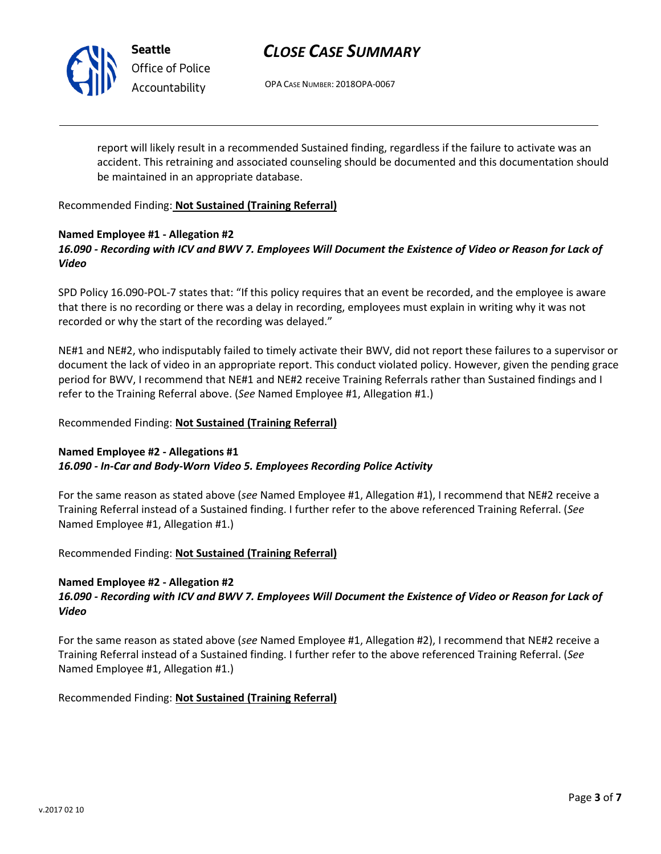

**Seattle** *Office of Police Accountability*

# *CLOSE CASE SUMMARY*

OPA CASE NUMBER: 2018OPA-0067

report will likely result in a recommended Sustained finding, regardless if the failure to activate was an accident. This retraining and associated counseling should be documented and this documentation should be maintained in an appropriate database.

Recommended Finding: **Not Sustained (Training Referral)**

### **Named Employee #1 - Allegation #2** *16.090 - Recording with ICV and BWV 7. Employees Will Document the Existence of Video or Reason for Lack of Video*

SPD Policy 16.090-POL-7 states that: "If this policy requires that an event be recorded, and the employee is aware that there is no recording or there was a delay in recording, employees must explain in writing why it was not recorded or why the start of the recording was delayed."

NE#1 and NE#2, who indisputably failed to timely activate their BWV, did not report these failures to a supervisor or document the lack of video in an appropriate report. This conduct violated policy. However, given the pending grace period for BWV, I recommend that NE#1 and NE#2 receive Training Referrals rather than Sustained findings and I refer to the Training Referral above. (*See* Named Employee #1, Allegation #1.)

## Recommended Finding: **Not Sustained (Training Referral)**

## **Named Employee #2 - Allegations #1** *16.090 - In-Car and Body-Worn Video 5. Employees Recording Police Activity*

For the same reason as stated above (*see* Named Employee #1, Allegation #1), I recommend that NE#2 receive a Training Referral instead of a Sustained finding. I further refer to the above referenced Training Referral. (*See* Named Employee #1, Allegation #1.)

Recommended Finding: **Not Sustained (Training Referral)**

## **Named Employee #2 - Allegation #2**

## *16.090 - Recording with ICV and BWV 7. Employees Will Document the Existence of Video or Reason for Lack of Video*

For the same reason as stated above (*see* Named Employee #1, Allegation #2), I recommend that NE#2 receive a Training Referral instead of a Sustained finding. I further refer to the above referenced Training Referral. (*See* Named Employee #1, Allegation #1.)

Recommended Finding: **Not Sustained (Training Referral)**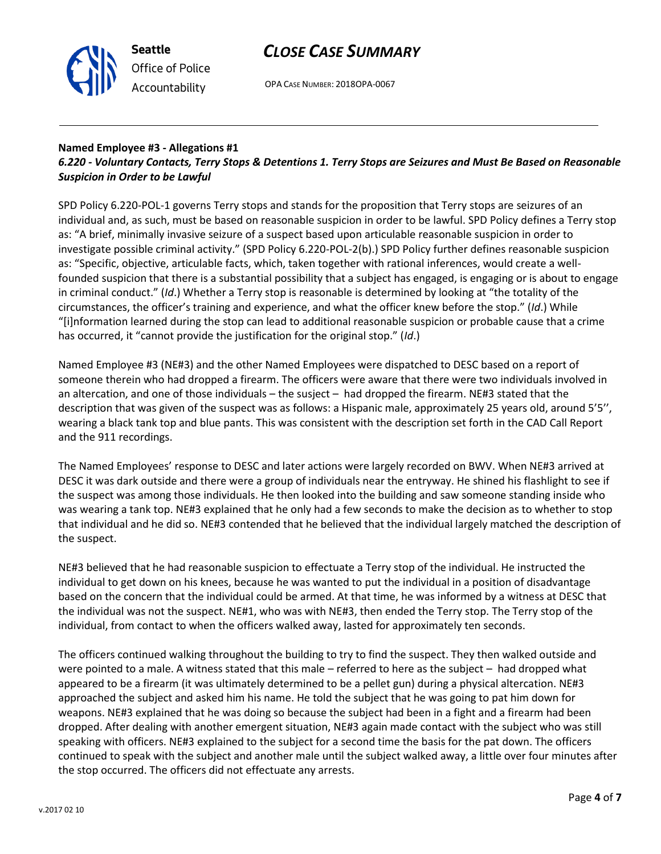



OPA CASE NUMBER: 2018OPA-0067

## **Named Employee #3 - Allegations #1**

## *6.220 - Voluntary Contacts, Terry Stops & Detentions 1. Terry Stops are Seizures and Must Be Based on Reasonable Suspicion in Order to be Lawful*

SPD Policy 6.220-POL-1 governs Terry stops and stands for the proposition that Terry stops are seizures of an individual and, as such, must be based on reasonable suspicion in order to be lawful. SPD Policy defines a Terry stop as: "A brief, minimally invasive seizure of a suspect based upon articulable reasonable suspicion in order to investigate possible criminal activity." (SPD Policy 6.220-POL-2(b).) SPD Policy further defines reasonable suspicion as: "Specific, objective, articulable facts, which, taken together with rational inferences, would create a wellfounded suspicion that there is a substantial possibility that a subject has engaged, is engaging or is about to engage in criminal conduct." (*Id*.) Whether a Terry stop is reasonable is determined by looking at "the totality of the circumstances, the officer's training and experience, and what the officer knew before the stop." (*Id*.) While "[i]nformation learned during the stop can lead to additional reasonable suspicion or probable cause that a crime has occurred, it "cannot provide the justification for the original stop." (*Id*.)

Named Employee #3 (NE#3) and the other Named Employees were dispatched to DESC based on a report of someone therein who had dropped a firearm. The officers were aware that there were two individuals involved in an altercation, and one of those individuals – the susject – had dropped the firearm. NE#3 stated that the description that was given of the suspect was as follows: a Hispanic male, approximately 25 years old, around 5'5'', wearing a black tank top and blue pants. This was consistent with the description set forth in the CAD Call Report and the 911 recordings.

The Named Employees' response to DESC and later actions were largely recorded on BWV. When NE#3 arrived at DESC it was dark outside and there were a group of individuals near the entryway. He shined his flashlight to see if the suspect was among those individuals. He then looked into the building and saw someone standing inside who was wearing a tank top. NE#3 explained that he only had a few seconds to make the decision as to whether to stop that individual and he did so. NE#3 contended that he believed that the individual largely matched the description of the suspect.

NE#3 believed that he had reasonable suspicion to effectuate a Terry stop of the individual. He instructed the individual to get down on his knees, because he was wanted to put the individual in a position of disadvantage based on the concern that the individual could be armed. At that time, he was informed by a witness at DESC that the individual was not the suspect. NE#1, who was with NE#3, then ended the Terry stop. The Terry stop of the individual, from contact to when the officers walked away, lasted for approximately ten seconds.

The officers continued walking throughout the building to try to find the suspect. They then walked outside and were pointed to a male. A witness stated that this male – referred to here as the subject – had dropped what appeared to be a firearm (it was ultimately determined to be a pellet gun) during a physical altercation. NE#3 approached the subject and asked him his name. He told the subject that he was going to pat him down for weapons. NE#3 explained that he was doing so because the subject had been in a fight and a firearm had been dropped. After dealing with another emergent situation, NE#3 again made contact with the subject who was still speaking with officers. NE#3 explained to the subject for a second time the basis for the pat down. The officers continued to speak with the subject and another male until the subject walked away, a little over four minutes after the stop occurred. The officers did not effectuate any arrests.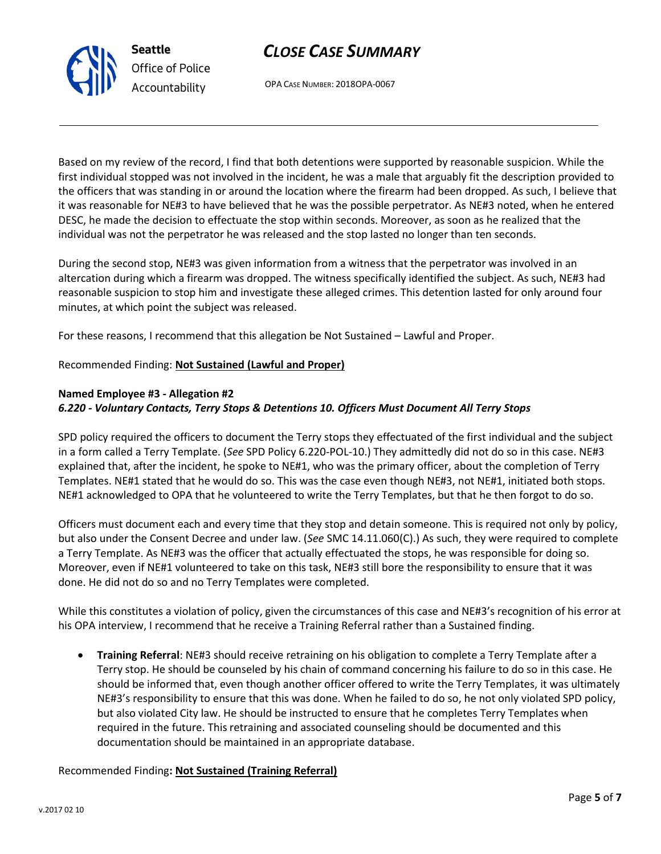## his OPA interview, I recommend that he receive a Training Referral rather than a Sustained finding.

 **Training Referral**: NE#3 should receive retraining on his obligation to complete a Terry Template after a Terry stop. He should be counseled by his chain of command concerning his failure to do so in this case. He should be informed that, even though another officer offered to write the Terry Templates, it was ultimately NE#3's responsibility to ensure that this was done. When he failed to do so, he not only violated SPD policy, but also violated City law. He should be instructed to ensure that he completes Terry Templates when required in the future. This retraining and associated counseling should be documented and this documentation should be maintained in an appropriate database.

#### Recommended Finding**: Not Sustained (Training Referral)**

## *CLOSE CASE SUMMARY*

OPA CASE NUMBER: 2018OPA-0067

Based on my review of the record, I find that both detentions were supported by reasonable suspicion. While the first individual stopped was not involved in the incident, he was a male that arguably fit the description provided to the officers that was standing in or around the location where the firearm had been dropped. As such, I believe that it was reasonable for NE#3 to have believed that he was the possible perpetrator. As NE#3 noted, when he entered DESC, he made the decision to effectuate the stop within seconds. Moreover, as soon as he realized that the individual was not the perpetrator he was released and the stop lasted no longer than ten seconds.

During the second stop, NE#3 was given information from a witness that the perpetrator was involved in an altercation during which a firearm was dropped. The witness specifically identified the subject. As such, NE#3 had reasonable suspicion to stop him and investigate these alleged crimes. This detention lasted for only around four minutes, at which point the subject was released.

For these reasons, I recommend that this allegation be Not Sustained – Lawful and Proper.

## Recommended Finding: **Not Sustained (Lawful and Proper)**

#### **Named Employee #3 - Allegation #2** *6.220 - Voluntary Contacts, Terry Stops & Detentions 10. Officers Must Document All Terry Stops*

SPD policy required the officers to document the Terry stops they effectuated of the first individual and the subject in a form called a Terry Template. (*See* SPD Policy 6.220-POL-10.) They admittedly did not do so in this case. NE#3 explained that, after the incident, he spoke to NE#1, who was the primary officer, about the completion of Terry Templates. NE#1 stated that he would do so. This was the case even though NE#3, not NE#1, initiated both stops. NE#1 acknowledged to OPA that he volunteered to write the Terry Templates, but that he then forgot to do so.

Officers must document each and every time that they stop and detain someone. This is required not only by policy, but also under the Consent Decree and under law. (*See* SMC 14.11.060(C).) As such, they were required to complete a Terry Template. As NE#3 was the officer that actually effectuated the stops, he was responsible for doing so. Moreover, even if NE#1 volunteered to take on this task, NE#3 still bore the responsibility to ensure that it was done. He did not do so and no Terry Templates were completed.

While this constitutes a violation of policy, given the circumstances of this case and NE#3's recognition of his error at



**Seattle** *Office of Police Accountability*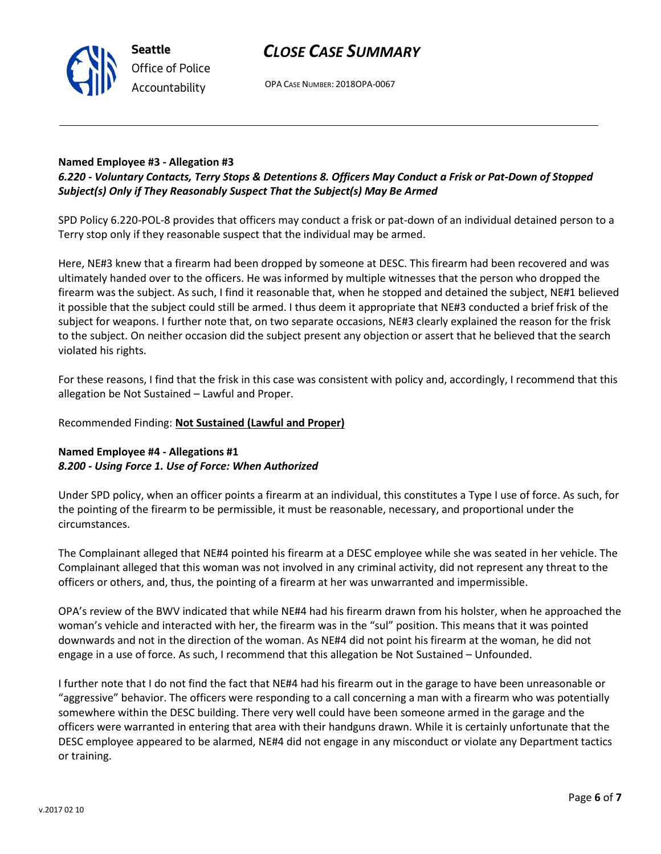## *CLOSE CASE SUMMARY*



OPA CASE NUMBER: 2018OPA-0067

## **Named Employee #3 - Allegation #3**

## *6.220 - Voluntary Contacts, Terry Stops & Detentions 8. Officers May Conduct a Frisk or Pat-Down of Stopped Subject(s) Only if They Reasonably Suspect That the Subject(s) May Be Armed*

SPD Policy 6.220-POL-8 provides that officers may conduct a frisk or pat-down of an individual detained person to a Terry stop only if they reasonable suspect that the individual may be armed.

Here, NE#3 knew that a firearm had been dropped by someone at DESC. This firearm had been recovered and was ultimately handed over to the officers. He was informed by multiple witnesses that the person who dropped the firearm was the subject. As such, I find it reasonable that, when he stopped and detained the subject, NE#1 believed it possible that the subject could still be armed. I thus deem it appropriate that NE#3 conducted a brief frisk of the subject for weapons. I further note that, on two separate occasions, NE#3 clearly explained the reason for the frisk to the subject. On neither occasion did the subject present any objection or assert that he believed that the search violated his rights.

For these reasons, I find that the frisk in this case was consistent with policy and, accordingly, I recommend that this allegation be Not Sustained – Lawful and Proper.

### Recommended Finding: **Not Sustained (Lawful and Proper)**

## **Named Employee #4 - Allegations #1** *8.200 - Using Force 1. Use of Force: When Authorized*

Under SPD policy, when an officer points a firearm at an individual, this constitutes a Type I use of force. As such, for the pointing of the firearm to be permissible, it must be reasonable, necessary, and proportional under the circumstances.

The Complainant alleged that NE#4 pointed his firearm at a DESC employee while she was seated in her vehicle. The Complainant alleged that this woman was not involved in any criminal activity, did not represent any threat to the officers or others, and, thus, the pointing of a firearm at her was unwarranted and impermissible.

OPA's review of the BWV indicated that while NE#4 had his firearm drawn from his holster, when he approached the woman's vehicle and interacted with her, the firearm was in the "sul" position. This means that it was pointed downwards and not in the direction of the woman. As NE#4 did not point his firearm at the woman, he did not engage in a use of force. As such, I recommend that this allegation be Not Sustained – Unfounded.

I further note that I do not find the fact that NE#4 had his firearm out in the garage to have been unreasonable or "aggressive" behavior. The officers were responding to a call concerning a man with a firearm who was potentially somewhere within the DESC building. There very well could have been someone armed in the garage and the officers were warranted in entering that area with their handguns drawn. While it is certainly unfortunate that the DESC employee appeared to be alarmed, NE#4 did not engage in any misconduct or violate any Department tactics or training.